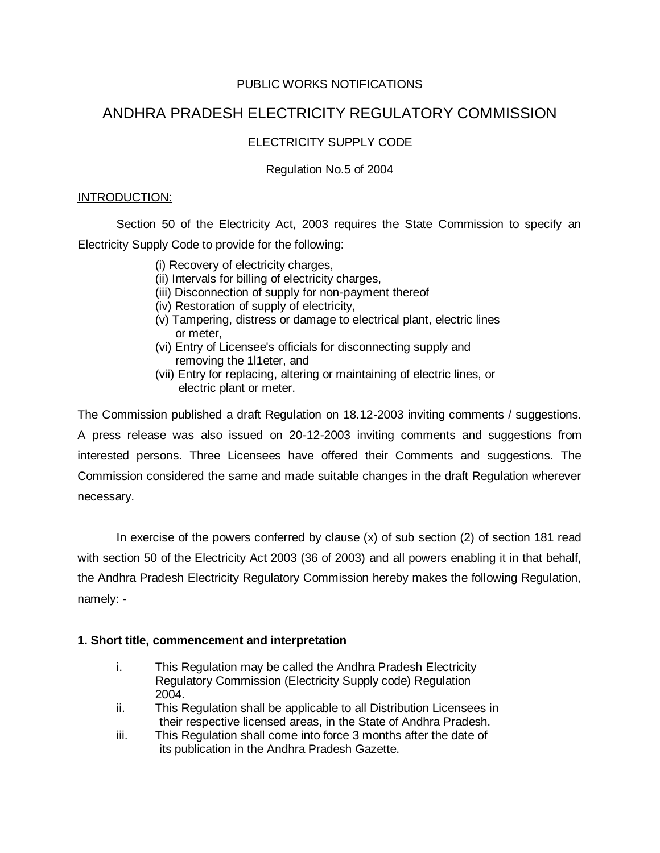# PUBLIC WORKS NOTIFICATIONS

# ANDHRA PRADESH ELECTRICITY REGULATORY COMMISSION

# ELECTRICITY SUPPLY CODE

# Regulation No.5 of 2004

### INTRODUCTION:

Section 50 of the Electricity Act, 2003 requires the State Commission to specify an Electricity Supply Code to provide for the following:

- (i) Recovery of electricity charges,
- (ii) Intervals for billing of electricity charges,
- (iii) Disconnection of supply for non-payment thereof
- (iv) Restoration of supply of electricity,
- (v) Tampering, distress or damage to electrical plant, electric lines or meter,
- (vi) Entry of Licensee's officials for disconnecting supply and removing the 1l1eter, and
- (vii) Entry for replacing, altering or maintaining of electric lines, or electric plant or meter.

The Commission published a draft Regulation on 18.12-2003 inviting comments / suggestions. A press release was also issued on 20-12-2003 inviting comments and suggestions from interested persons. Three Licensees have offered their Comments and suggestions. The Commission considered the same and made suitable changes in the draft Regulation wherever necessary.

In exercise of the powers conferred by clause (x) of sub section (2) of section 181 read with section 50 of the Electricity Act 2003 (36 of 2003) and all powers enabling it in that behalf, the Andhra Pradesh Electricity Regulatory Commission hereby makes the following Regulation, namely: -

### **1. Short title, commencement and interpretation**

- i. This Regulation may be called the Andhra Pradesh Electricity Regulatory Commission (Electricity Supply code) Regulation 2004.
- ii. This Regulation shall be applicable to all Distribution Licensees in their respective licensed areas, in the State of Andhra Pradesh.
- iii. This Regulation shall come into force 3 months after the date of its publication in the Andhra Pradesh Gazette.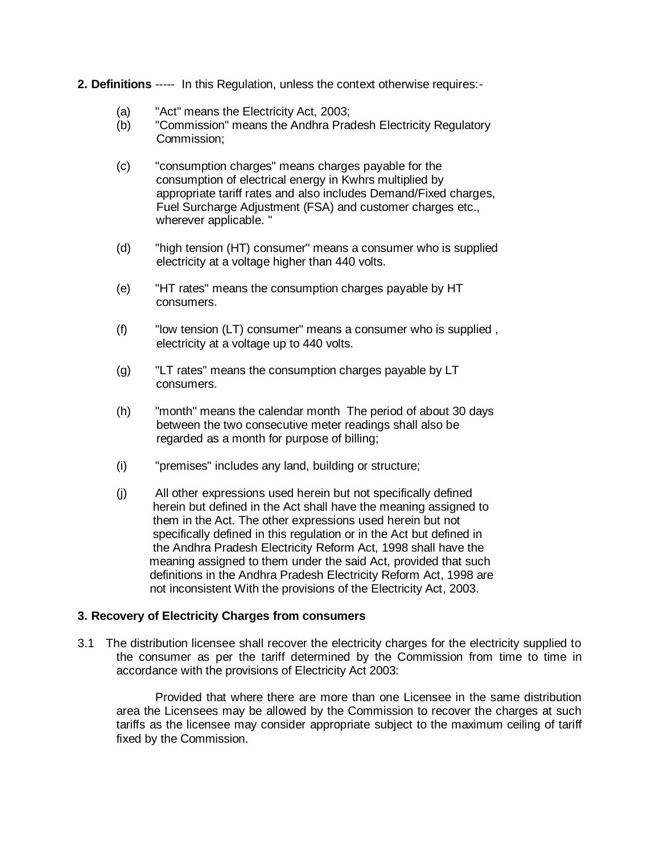- **2. Definitions** ----- In this Regulation, unless the context otherwise requires:-
	- (a) "Act" means the Electricity Act, 2003;
	- (b) "Commission" means the Andhra Pradesh Electricity Regulatory Commission;
	- (c) "consumption charges" means charges payable for the consumption of electrical energy in Kwhrs multiplied by appropriate tariff rates and also includes Demand/Fixed charges, Fuel Surcharge Adjustment (FSA) and customer charges etc., wherever applicable. "
	- (d) "high tension (HT) consumer" means a consumer who is supplied electricity at a voltage higher than 440 volts.
	- (e) "HT rates" means the consumption charges payable by HT consumers.
	- (f) "low tension (LT) consumer" means a consumer who is supplied , electricity at a voltage up to 440 volts.
	- (g) "LT rates" means the consumption charges payable by LT consumers.
	- (h) "month" means the calendar month The period of about 30 days between the two consecutive meter readings shall also be regarded as a month for purpose of billing;
	- (i) "premises" includes any land, building or structure;
	- (j) All other expressions used herein but not specifically defined herein but defined in the Act shall have the meaning assigned to them in the Act. The other expressions used herein but not specifically defined in this regulation or in the Act but defined in the Andhra Pradesh Electricity Reform Act, 1998 shall have the meaning assigned to them under the said Act, provided that such definitions in the Andhra Pradesh Electricity Reform Act, 1998 are not inconsistent With the provisions of the Electricity Act, 2003.

### **3. Recovery of Electricity Charges from consumers**

3.1 The distribution licensee shall recover the electricity charges for the electricity supplied to the consumer as per the tariff determined by the Commission from time to time in accordance with the provisions of Electricity Act 2003:

Provided that where there are more than one Licensee in the same distribution area the Licensees may be allowed by the Commission to recover the charges at such tariffs as the licensee may consider appropriate subject to the maximum ceiling of tariff fixed by the Commission.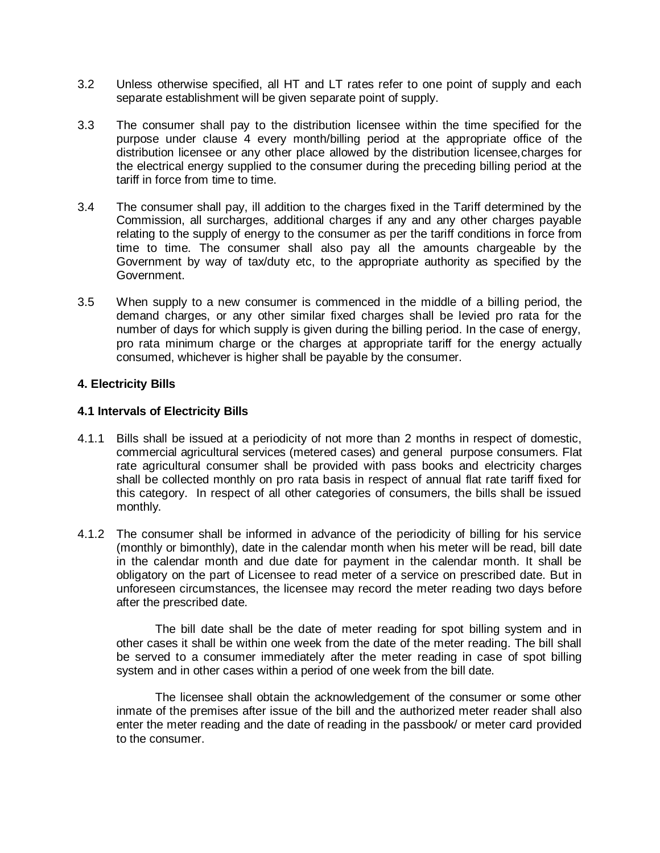- 3.2 Unless otherwise specified, all HT and LT rates refer to one point of supply and each separate establishment will be given separate point of supply.
- 3.3 The consumer shall pay to the distribution licensee within the time specified for the purpose under clause 4 every month/billing period at the appropriate office of the distribution licensee or any other place allowed by the distribution licensee,charges for the electrical energy supplied to the consumer during the preceding billing period at the tariff in force from time to time.
- 3.4 The consumer shall pay, ill addition to the charges fixed in the Tariff determined by the Commission, all surcharges, additional charges if any and any other charges payable relating to the supply of energy to the consumer as per the tariff conditions in force from time to time. The consumer shall also pay all the amounts chargeable by the Government by way of tax/duty etc, to the appropriate authority as specified by the Government.
- 3.5 When supply to a new consumer is commenced in the middle of a billing period, the demand charges, or any other similar fixed charges shall be levied pro rata for the number of days for which supply is given during the billing period. In the case of energy, pro rata minimum charge or the charges at appropriate tariff for the energy actually consumed, whichever is higher shall be payable by the consumer.

#### **4. Electricity Bills**

#### **4.1 Intervals of Electricity Bills**

- 4.1.1 Bills shall be issued at a periodicity of not more than 2 months in respect of domestic, commercial agricultural services (metered cases) and general purpose consumers. Flat rate agricultural consumer shall be provided with pass books and electricity charges shall be collected monthly on pro rata basis in respect of annual flat rate tariff fixed for this category. In respect of all other categories of consumers, the bills shall be issued monthly.
- 4.1.2 The consumer shall be informed in advance of the periodicity of billing for his service (monthly or bimonthly), date in the calendar month when his meter will be read, bill date in the calendar month and due date for payment in the calendar month. It shall be obligatory on the part of Licensee to read meter of a service on prescribed date. But in unforeseen circumstances, the licensee may record the meter reading two days before after the prescribed date.

The bill date shall be the date of meter reading for spot billing system and in other cases it shall be within one week from the date of the meter reading. The bill shall be served to a consumer immediately after the meter reading in case of spot billing system and in other cases within a period of one week from the bill date.

The licensee shall obtain the acknowledgement of the consumer or some other inmate of the premises after issue of the bill and the authorized meter reader shall also enter the meter reading and the date of reading in the passbook/ or meter card provided to the consumer.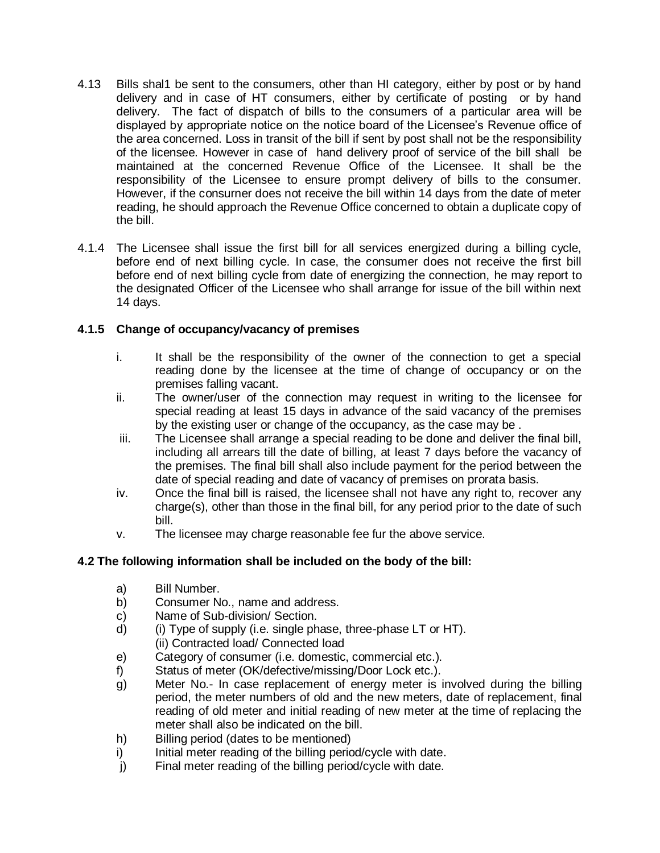- 4.13 Bills shal1 be sent to the consumers, other than HI category, either by post or by hand delivery and in case of HT consumers, either by certificate of posting or by hand delivery. The fact of dispatch of bills to the consumers of a particular area will be displayed by appropriate notice on the notice board of the Licensee's Revenue office of the area concerned. Loss in transit of the bill if sent by post shall not be the responsibility of the licensee. However in case of hand delivery proof of service of the bill shall be maintained at the concerned Revenue Office of the Licensee. It shall be the responsibility of the Licensee to ensure prompt delivery of bills to the consumer. However, if the consurner does not receive the bill within 14 days from the date of meter reading, he should approach the Revenue Office concerned to obtain a duplicate copy of the bill.
- 4.1.4 The Licensee shall issue the first bill for all services energized during a billing cycle, before end of next billing cycle. In case, the consumer does not receive the first bill before end of next billing cycle from date of energizing the connection, he may report to the designated Officer of the Licensee who shall arrange for issue of the bill within next 14 days.

# **4.1.5 Change of occupancy/vacancy of premises**

- i. It shall be the responsibility of the owner of the connection to get a special reading done by the licensee at the time of change of occupancy or on the premises falling vacant.
- ii. The owner/user of the connection may request in writing to the licensee for special reading at least 15 days in advance of the said vacancy of the premises by the existing user or change of the occupancy, as the case may be .
- iii. The Licensee shall arrange a special reading to be done and deliver the final bill, including all arrears till the date of billing, at least 7 days before the vacancy of the premises. The final bill shall also include payment for the period between the date of special reading and date of vacancy of premises on prorata basis.
- iv. Once the final bill is raised, the licensee shall not have any right to, recover any charge(s), other than those in the final bill, for any period prior to the date of such bill.
- v. The licensee may charge reasonable fee fur the above service.

# **4.2 The following information shall be included on the body of the bill:**

- a) Bill Number.
- b) Consumer No., name and address.
- c) Name of Sub-division/ Section.
- d) (i) Type of supply (i.e. single phase, three-phase LT or HT). (ii) Contracted load/ Connected load
- e) Category of consumer (i.e. domestic, commercial etc.).
- f) Status of meter (OK/defective/missing/Door Lock etc.).
- g) Meter No.- In case replacement of energy meter is involved during the billing period, the meter numbers of old and the new meters, date of replacement, final reading of old meter and initial reading of new meter at the time of replacing the meter shall also be indicated on the bill.
- h) Billing period (dates to be mentioned)
- i) Initial meter reading of the billing period/cycle with date.
- j) Final meter reading of the billing period/cycle with date.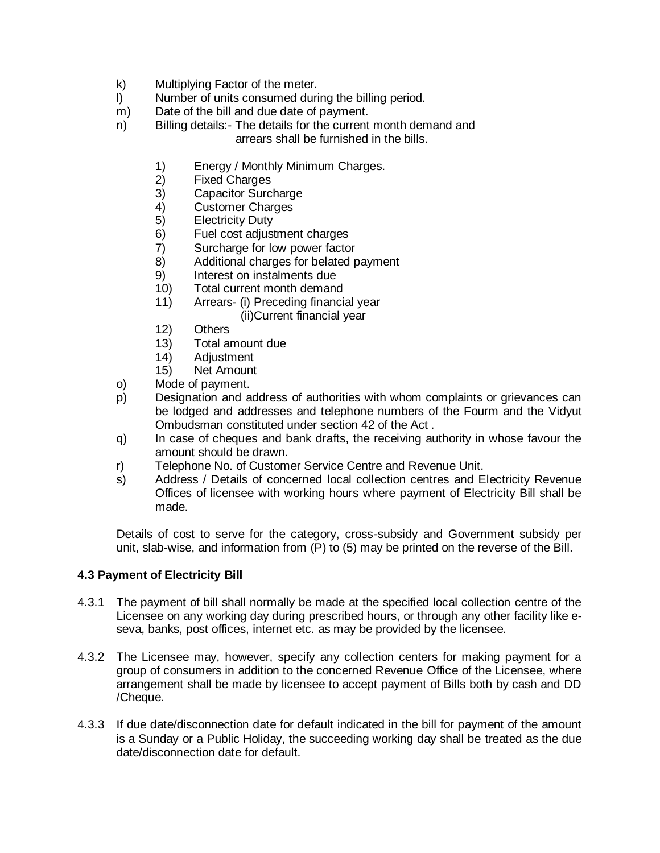- k) Multiplying Factor of the meter.
- l) Number of units consumed during the billing period.
- m) Date of the bill and due date of payment.
- n) Billing details:- The details for the current month demand and arrears shall be furnished in the bills.
	- 1) Energy / Monthly Minimum Charges.
	- 2) Fixed Charges
	- Capacitor Surcharge
	- 4) Customer Charges<br>5) Electricity Duty
	- **Electricity Duty**
	- 6) Fuel cost adjustment charges
	- 7) Surcharge for low power factor
	- 8) Additional charges for belated payment
	- 9) Interest on instalments due
	- 10) Total current month demand
	- 11) Arrears- (i) Preceding financial year (ii)Current financial year
	- 12) Others
	- 13) Total amount due
	- 14) Adjustment
	- 15) Net Amount
- o) Mode of payment.
- p) Designation and address of authorities with whom complaints or grievances can be lodged and addresses and telephone numbers of the Fourm and the Vidyut Ombudsman constituted under section 42 of the Act .
- q) In case of cheques and bank drafts, the receiving authority in whose favour the amount should be drawn.
- r) Telephone No. of Customer Service Centre and Revenue Unit.
- s) Address / Details of concerned local collection centres and Electricity Revenue Offices of licensee with working hours where payment of Electricity Bill shall be made.

Details of cost to serve for the category, cross-subsidy and Government subsidy per unit, slab-wise, and information from (P) to (5) may be printed on the reverse of the Bill.

# **4.3 Payment of Electricity Bill**

- 4.3.1 The payment of bill shall normally be made at the specified local collection centre of the Licensee on any working day during prescribed hours, or through any other facility like eseva, banks, post offices, internet etc. as may be provided by the licensee.
- 4.3.2 The Licensee may, however, specify any collection centers for making payment for a group of consumers in addition to the concerned Revenue Office of the Licensee, where arrangement shall be made by licensee to accept payment of Bills both by cash and DD /Cheque.
- 4.3.3 If due date/disconnection date for default indicated in the bill for payment of the amount is a Sunday or a Public Holiday, the succeeding working day shall be treated as the due date/disconnection date for default.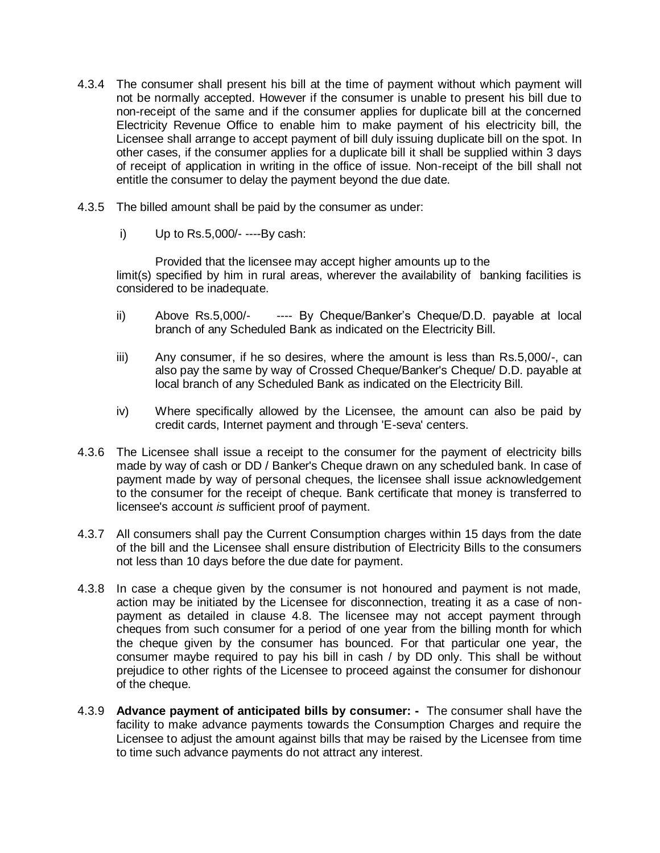- 4.3.4 The consumer shall present his bill at the time of payment without which payment will not be normally accepted. However if the consumer is unable to present his bill due to non-receipt of the same and if the consumer applies for duplicate bill at the concerned Electricity Revenue Office to enable him to make payment of his electricity bill, the Licensee shall arrange to accept payment of bill duly issuing duplicate bill on the spot. In other cases, if the consumer applies for a duplicate bill it shall be supplied within 3 days of receipt of application in writing in the office of issue. Non-receipt of the bill shall not entitle the consumer to delay the payment beyond the due date.
- 4.3.5 The billed amount shall be paid by the consumer as under:
	- i) Up to Rs.5,000/- ----By cash:

Provided that the licensee may accept higher amounts up to the limit(s) specified by him in rural areas, wherever the availability of banking facilities is considered to be inadequate.

- ii) Above Rs.5,000/- ---- By Cheque/Banker's Cheque/D.D. payable at local branch of any Scheduled Bank as indicated on the Electricity Bill.
- iii) Any consumer, if he so desires, where the amount is less than Rs.5,000/-, can also pay the same by way of Crossed Cheque/Banker's Cheque/ D.D. payable at local branch of any Scheduled Bank as indicated on the Electricity Bill.
- iv) Where specifically allowed by the Licensee, the amount can also be paid by credit cards, Internet payment and through 'E-seva' centers.
- 4.3.6 The Licensee shall issue a receipt to the consumer for the payment of electricity bills made by way of cash or DD / Banker's Cheque drawn on any scheduled bank. In case of payment made by way of personal cheques, the licensee shall issue acknowledgement to the consumer for the receipt of cheque. Bank certificate that money is transferred to licensee's account *is* sufficient proof of payment.
- 4.3.7 All consumers shall pay the Current Consumption charges within 15 days from the date of the bill and the Licensee shall ensure distribution of Electricity Bills to the consumers not less than 10 days before the due date for payment.
- 4.3.8 In case a cheque given by the consumer is not honoured and payment is not made, action may be initiated by the Licensee for disconnection, treating it as a case of nonpayment as detailed in clause 4.8. The licensee may not accept payment through cheques from such consumer for a period of one year from the billing month for which the cheque given by the consumer has bounced. For that particular one year, the consumer maybe required to pay his bill in cash / by DD only. This shall be without prejudice to other rights of the Licensee to proceed against the consumer for dishonour of the cheque.
- 4.3.9 **Advance payment of anticipated bills by consumer:** The consumer shall have the facility to make advance payments towards the Consumption Charges and require the Licensee to adjust the amount against bills that may be raised by the Licensee from time to time such advance payments do not attract any interest.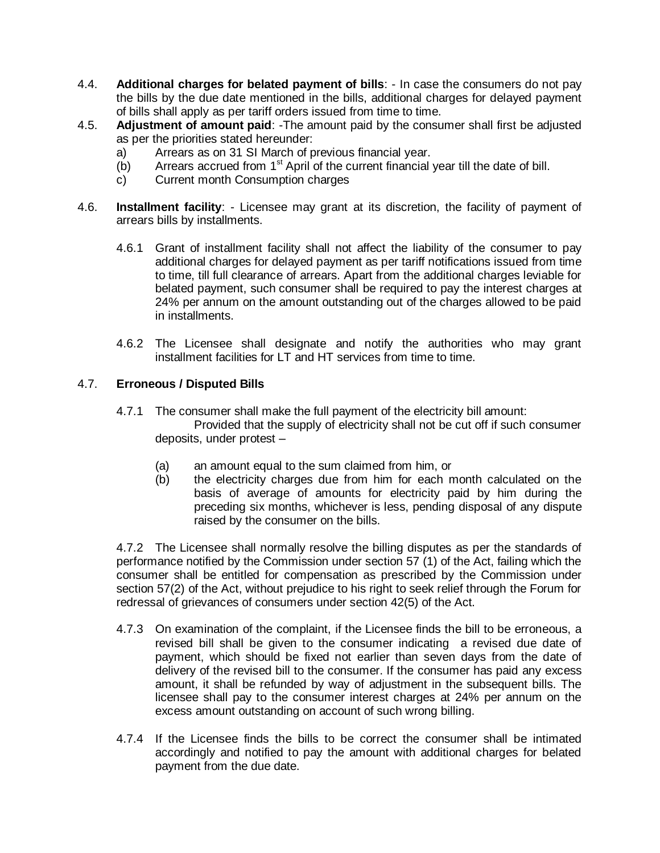- 4.4. **Additional charges for belated payment of bills**: In case the consumers do not pay the bills by the due date mentioned in the bills, additional charges for delayed payment of bills shall apply as per tariff orders issued from time to time.
- 4.5. **Adjustment of amount paid**: -The amount paid by the consumer shall first be adjusted as per the priorities stated hereunder:
	- a) Arrears as on 31 SI March of previous financial year.
	- (b) Arrears accrued from  $1<sup>st</sup>$  April of the current financial year till the date of bill.
	- c) Current month Consumption charges
- 4.6. **Installment facility**: Licensee may grant at its discretion, the facility of payment of arrears bills by installments.
	- 4.6.1 Grant of installment facility shall not affect the liability of the consumer to pay additional charges for delayed payment as per tariff notifications issued from time to time, till full clearance of arrears. Apart from the additional charges leviable for belated payment, such consumer shall be required to pay the interest charges at 24% per annum on the amount outstanding out of the charges allowed to be paid in installments.
	- 4.6.2 The Licensee shall designate and notify the authorities who may grant installment facilities for LT and HT services from time to time.

# 4.7. **Erroneous / Disputed Bills**

- 4.7.1 The consumer shall make the full payment of the electricity bill amount: Provided that the supply of electricity shall not be cut off if such consumer deposits, under protest –
	- (a) an amount equal to the sum claimed from him, or
	- (b) the electricity charges due from him for each month calculated on the basis of average of amounts for electricity paid by him during the preceding six months, whichever is less, pending disposal of any dispute raised by the consumer on the bills.

4.7.2 The Licensee shall normally resolve the billing disputes as per the standards of performance notified by the Commission under section 57 (1) of the Act, failing which the consumer shall be entitled for compensation as prescribed by the Commission under section 57(2) of the Act, without prejudice to his right to seek relief through the Forum for redressal of grievances of consumers under section 42(5) of the Act.

- 4.7.3 On examination of the complaint, if the Licensee finds the bill to be erroneous, a revised bill shall be given to the consumer indicating a revised due date of payment, which should be fixed not earlier than seven days from the date of delivery of the revised bill to the consumer. If the consumer has paid any excess amount, it shall be refunded by way of adjustment in the subsequent bills. The licensee shall pay to the consumer interest charges at 24% per annum on the excess amount outstanding on account of such wrong billing.
- 4.7.4 If the Licensee finds the bills to be correct the consumer shall be intimated accordingly and notified to pay the amount with additional charges for belated payment from the due date.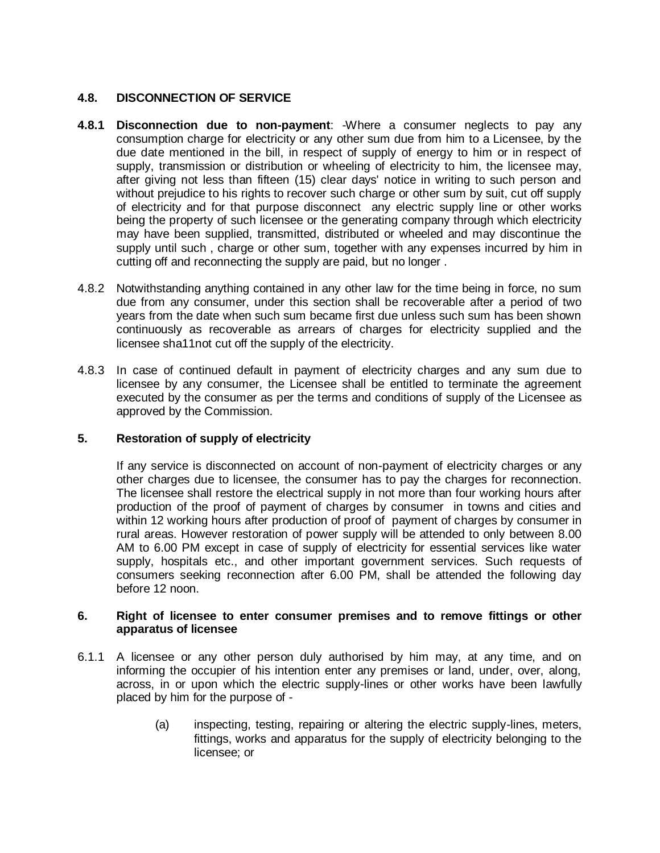### **4.8. DISCONNECTION OF SERVICE**

- **4.8.1 Disconnection due to non-payment**: -Where a consumer neglects to pay any consumption charge for electricity or any other sum due from him to a Licensee, by the due date mentioned in the bill, in respect of supply of energy to him or in respect of supply, transmission or distribution or wheeling of electricity to him, the licensee may, after giving not less than fifteen (15) clear days' notice in writing to such person and without prejudice to his rights to recover such charge or other sum by suit, cut off supply of electricity and for that purpose disconnect any electric supply line or other works being the property of such licensee or the generating company through which electricity may have been supplied, transmitted, distributed or wheeled and may discontinue the supply until such , charge or other sum, together with any expenses incurred by him in cutting off and reconnecting the supply are paid, but no longer .
- 4.8.2 Notwithstanding anything contained in any other law for the time being in force, no sum due from any consumer, under this section shall be recoverable after a period of two years from the date when such sum became first due unless such sum has been shown continuously as recoverable as arrears of charges for electricity supplied and the licensee sha11not cut off the supply of the electricity.
- 4.8.3 In case of continued default in payment of electricity charges and any sum due to licensee by any consumer, the Licensee shall be entitled to terminate the agreement executed by the consumer as per the terms and conditions of supply of the Licensee as approved by the Commission.

### **5. Restoration of supply of electricity**

If any service is disconnected on account of non-payment of electricity charges or any other charges due to licensee, the consumer has to pay the charges for reconnection. The licensee shall restore the electrical supply in not more than four working hours after production of the proof of payment of charges by consumer in towns and cities and within 12 working hours after production of proof of payment of charges by consumer in rural areas. However restoration of power supply will be attended to only between 8.00 AM to 6.00 PM except in case of supply of electricity for essential services like water supply, hospitals etc., and other important government services. Such requests of consumers seeking reconnection after 6.00 PM, shall be attended the following day before 12 noon.

#### **6. Right of licensee to enter consumer premises and to remove fittings or other apparatus of licensee**

- 6.1.1 A licensee or any other person duly authorised by him may, at any time, and on informing the occupier of his intention enter any premises or land, under, over, along, across, in or upon which the electric supply-lines or other works have been lawfully placed by him for the purpose of -
	- (a) inspecting, testing, repairing or altering the electric supply-lines, meters, fittings, works and apparatus for the supply of electricity belonging to the licensee; or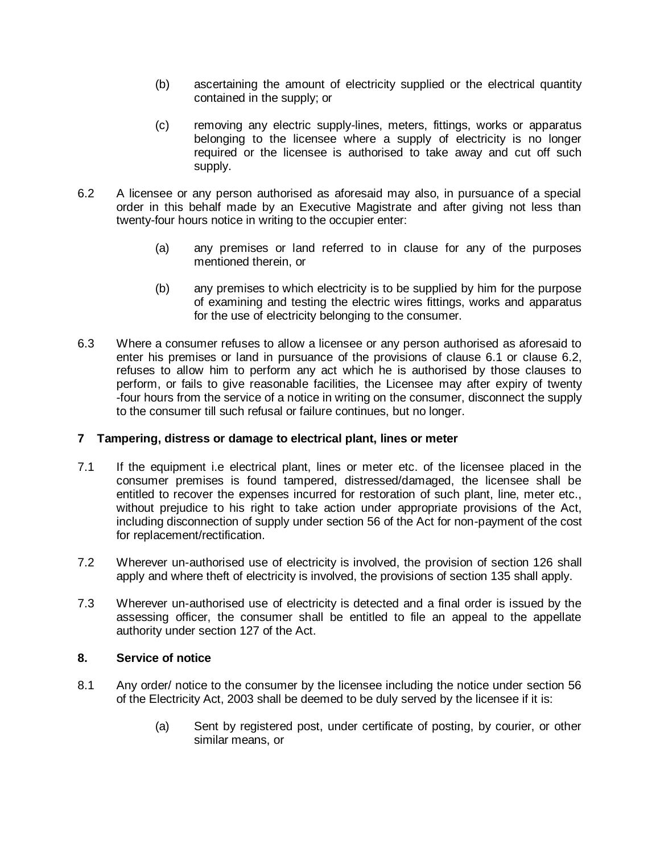- (b) ascertaining the amount of electricity supplied or the electrical quantity contained in the supply; or
- (c) removing any electric supply-lines, meters, fittings, works or apparatus belonging to the licensee where a supply of electricity is no longer required or the licensee is authorised to take away and cut off such supply.
- 6.2 A licensee or any person authorised as aforesaid may also, in pursuance of a special order in this behalf made by an Executive Magistrate and after giving not less than twenty-four hours notice in writing to the occupier enter:
	- (a) any premises or land referred to in clause for any of the purposes mentioned therein, or
	- (b) any premises to which electricity is to be supplied by him for the purpose of examining and testing the electric wires fittings, works and apparatus for the use of electricity belonging to the consumer.
- 6.3 Where a consumer refuses to allow a licensee or any person authorised as aforesaid to enter his premises or land in pursuance of the provisions of clause 6.1 or clause 6.2, refuses to allow him to perform any act which he is authorised by those clauses to perform, or fails to give reasonable facilities, the Licensee may after expiry of twenty -four hours from the service of a notice in writing on the consumer, disconnect the supply to the consumer till such refusal or failure continues, but no longer.

### **7 Tampering, distress or damage to electrical plant, lines or meter**

- 7.1 If the equipment i.e electrical plant, lines or meter etc. of the licensee placed in the consumer premises is found tampered, distressed/damaged, the licensee shall be entitled to recover the expenses incurred for restoration of such plant, line, meter etc., without prejudice to his right to take action under appropriate provisions of the Act, including disconnection of supply under section 56 of the Act for non-payment of the cost for replacement/rectification.
- 7.2 Wherever un-authorised use of electricity is involved, the provision of section 126 shall apply and where theft of electricity is involved, the provisions of section 135 shall apply.
- 7.3 Wherever un-authorised use of electricity is detected and a final order is issued by the assessing officer, the consumer shall be entitled to file an appeal to the appellate authority under section 127 of the Act.

### **8. Service of notice**

- 8.1 Any order/ notice to the consumer by the licensee including the notice under section 56 of the Electricity Act, 2003 shall be deemed to be duly served by the licensee if it is:
	- (a) Sent by registered post, under certificate of posting, by courier, or other similar means, or